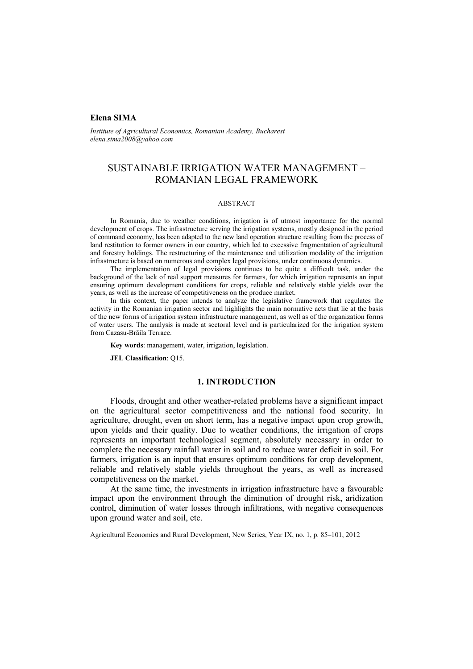## **Elena SIMA**

*Institute of Agricultural Economics, Romanian Academy, Bucharest elena.sima2008@yahoo.com* 

# SUSTAINABLE IRRIGATION WATER MANAGEMENT – ROMANIAN LEGAL FRAMEWORK

### ABSTRACT

In Romania, due to weather conditions, irrigation is of utmost importance for the normal development of crops. The infrastructure serving the irrigation systems, mostly designed in the period of command economy, has been adapted to the new land operation structure resulting from the process of land restitution to former owners in our country, which led to excessive fragmentation of agricultural and forestry holdings. The restructuring of the maintenance and utilization modality of the irrigation infrastructure is based on numerous and complex legal provisions, under continuous dynamics.

The implementation of legal provisions continues to be quite a difficult task, under the background of the lack of real support measures for farmers, for which irrigation represents an input ensuring optimum development conditions for crops, reliable and relatively stable yields over the years, as well as the increase of competitiveness on the produce market.

In this context, the paper intends to analyze the legislative framework that regulates the activity in the Romanian irrigation sector and highlights the main normative acts that lie at the basis of the new forms of irrigation system infrastructure management, as well as of the organization forms of water users. The analysis is made at sectoral level and is particularized for the irrigation system from Cazasu-Brăila Terrace.

**Key words**: management, water, irrigation, legislation.

**JEL Classification**: Q15.

#### **1. INTRODUCTION**

Floods, drought and other weather-related problems have a significant impact on the agricultural sector competitiveness and the national food security. In agriculture, drought, even on short term, has a negative impact upon crop growth, upon yields and their quality. Due to weather conditions, the irrigation of crops represents an important technological segment, absolutely necessary in order to complete the necessary rainfall water in soil and to reduce water deficit in soil. For farmers, irrigation is an input that ensures optimum conditions for crop development, reliable and relatively stable yields throughout the years, as well as increased competitiveness on the market.

At the same time, the investments in irrigation infrastructure have a favourable impact upon the environment through the diminution of drought risk, aridization control, diminution of water losses through infiltrations, with negative consequences upon ground water and soil, etc.

Agricultural Economics and Rural Development, New Series, Year IX, no. 1, p. 85–101, 2012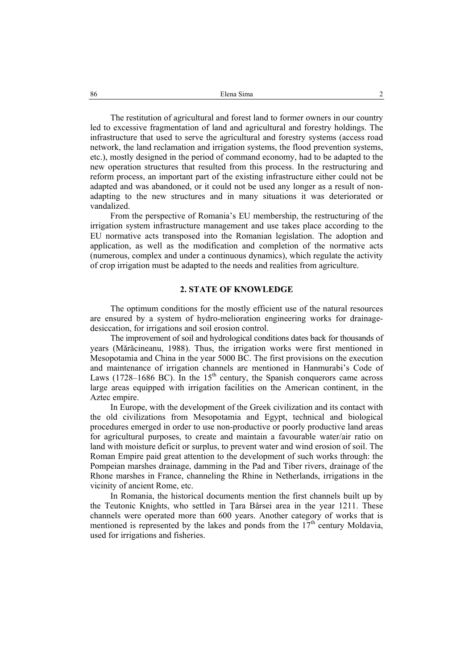The restitution of agricultural and forest land to former owners in our country led to excessive fragmentation of land and agricultural and forestry holdings. The infrastructure that used to serve the agricultural and forestry systems (access road network, the land reclamation and irrigation systems, the flood prevention systems, etc.), mostly designed in the period of command economy, had to be adapted to the new operation structures that resulted from this process. In the restructuring and reform process, an important part of the existing infrastructure either could not be adapted and was abandoned, or it could not be used any longer as a result of nonadapting to the new structures and in many situations it was deteriorated or vandalized.

From the perspective of Romania's EU membership, the restructuring of the irrigation system infrastructure management and use takes place according to the EU normative acts transposed into the Romanian legislation. The adoption and application, as well as the modification and completion of the normative acts (numerous, complex and under a continuous dynamics), which regulate the activity of crop irrigation must be adapted to the needs and realities from agriculture.

#### **2. STATE OF KNOWLEDGE**

The optimum conditions for the mostly efficient use of the natural resources are ensured by a system of hydro-melioration engineering works for drainagedesiccation, for irrigations and soil erosion control.

The improvement of soil and hydrological conditions dates back for thousands of years (Mărăcineanu, 1988). Thus, the irrigation works were first mentioned in Mesopotamia and China in the year 5000 BC. The first provisions on the execution and maintenance of irrigation channels are mentioned in Hanmurabi's Code of Laws (1728–1686 BC). In the 15<sup>th</sup> century, the Spanish conquerors came across large areas equipped with irrigation facilities on the American continent, in the Aztec empire.

In Europe, with the development of the Greek civilization and its contact with the old civilizations from Mesopotamia and Egypt, technical and biological procedures emerged in order to use non-productive or poorly productive land areas for agricultural purposes, to create and maintain a favourable water/air ratio on land with moisture deficit or surplus, to prevent water and wind erosion of soil. The Roman Empire paid great attention to the development of such works through: the Pompeian marshes drainage, damming in the Pad and Tiber rivers, drainage of the Rhone marshes in France, channeling the Rhine in Netherlands, irrigations in the vicinity of ancient Rome, etc.

In Romania, the historical documents mention the first channels built up by the Teutonic Knights, who settled in Ţara Bârsei area in the year 1211. These channels were operated more than 600 years. Another category of works that is mentioned is represented by the lakes and ponds from the  $17<sup>th</sup>$  century Moldavia, used for irrigations and fisheries.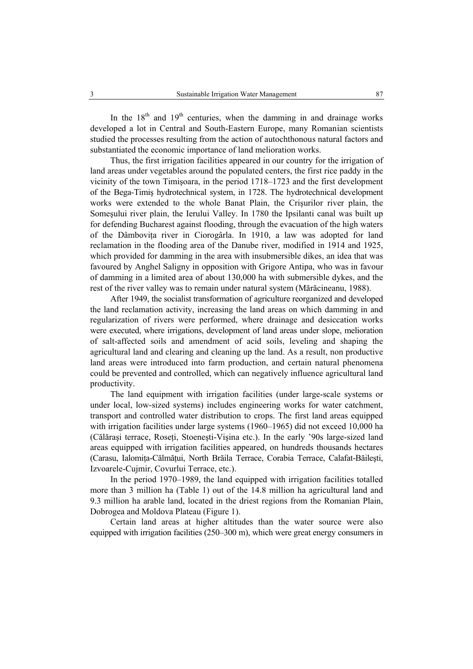In the  $18<sup>th</sup>$  and  $19<sup>th</sup>$  centuries, when the damming in and drainage works developed a lot in Central and South-Eastern Europe, many Romanian scientists studied the processes resulting from the action of autochthonous natural factors and substantiated the economic importance of land melioration works.

Thus, the first irrigation facilities appeared in our country for the irrigation of land areas under vegetables around the populated centers, the first rice paddy in the vicinity of the town Timişoara, in the period 1718–1723 and the first development of the Bega-Timiş hydrotechnical system, in 1728. The hydrotechnical development works were extended to the whole Banat Plain, the Crişurilor river plain, the Someşului river plain, the Ierului Valley. In 1780 the Ipsilanti canal was built up for defending Bucharest against flooding, through the evacuation of the high waters of the Dâmboviţa river in Ciorogârla. In 1910, a law was adopted for land reclamation in the flooding area of the Danube river, modified in 1914 and 1925, which provided for damming in the area with insubmersible dikes, an idea that was favoured by Anghel Saligny in opposition with Grigore Antipa, who was in favour of damming in a limited area of about 130,000 ha with submersible dykes, and the rest of the river valley was to remain under natural system (Mărăcineanu, 1988).

After 1949, the socialist transformation of agriculture reorganized and developed the land reclamation activity, increasing the land areas on which damming in and regularization of rivers were performed, where drainage and desiccation works were executed, where irrigations, development of land areas under slope, melioration of salt-affected soils and amendment of acid soils, leveling and shaping the agricultural land and clearing and cleaning up the land. As a result, non productive land areas were introduced into farm production, and certain natural phenomena could be prevented and controlled, which can negatively influence agricultural land productivity.

The land equipment with irrigation facilities (under large-scale systems or under local, low-sized systems) includes engineering works for water catchment, transport and controlled water distribution to crops. The first land areas equipped with irrigation facilities under large systems (1960–1965) did not exceed 10,000 ha (Călărași terrace, Roseti, Stoenești-Vișina etc.). In the early '90s large-sized land areas equipped with irrigation facilities appeared, on hundreds thousands hectares (Carasu, Ialomita-Călmătui, North Brăila Terrace, Corabia Terrace, Calafat-Băilești, Izvoarele-Cujmir, Covurlui Terrace, etc.).

In the period 1970–1989, the land equipped with irrigation facilities totalled more than 3 million ha (Table 1) out of the 14.8 million ha agricultural land and 9.3 million ha arable land, located in the driest regions from the Romanian Plain, Dobrogea and Moldova Plateau (Figure 1).

Certain land areas at higher altitudes than the water source were also equipped with irrigation facilities (250–300 m), which were great energy consumers in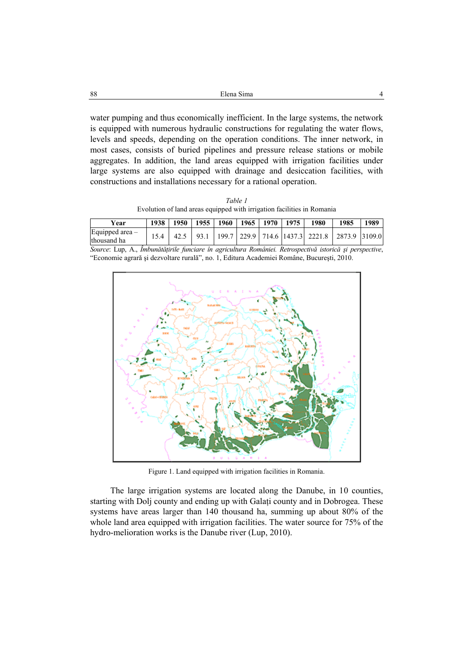| 88 | Elena Sima |  |
|----|------------|--|
|    |            |  |
|    |            |  |

water pumping and thus economically inefficient. In the large systems, the network is equipped with numerous hydraulic constructions for regulating the water flows, levels and speeds, depending on the operation conditions. The inner network, in most cases, consists of buried pipelines and pressure release stations or mobile aggregates. In addition, the land areas equipped with irrigation facilities under large systems are also equipped with drainage and desiccation facilities, with constructions and installations necessary for a rational operation.

*Table 1*  Evolution of land areas equipped with irrigation facilities in Romania

| Year                            | 1938 | 1950 | $1955$ | 1960   1965   1970   1975 |  | 1980 | 1985                                                             | 1989 |
|---------------------------------|------|------|--------|---------------------------|--|------|------------------------------------------------------------------|------|
| Equipped area -<br>Ithousand ha |      |      |        |                           |  |      | 93.1   199.7   229.9   714.6   1437.3   2221.8   2873.9   3109.0 |      |

*Source*: Lup, A., *Îmbunătăţirile funciare în agricultura României. Retrospectivă istorică şi perspective*, "Economie agrară şi dezvoltare rurală", no. 1, Editura Academiei Române, Bucureşti, 2010.



Figure 1. Land equipped with irrigation facilities in Romania.

The large irrigation systems are located along the Danube, in 10 counties, starting with Dolj county and ending up with Galati county and in Dobrogea. These systems have areas larger than 140 thousand ha, summing up about 80% of the whole land area equipped with irrigation facilities. The water source for 75% of the hydro-melioration works is the Danube river (Lup, 2010).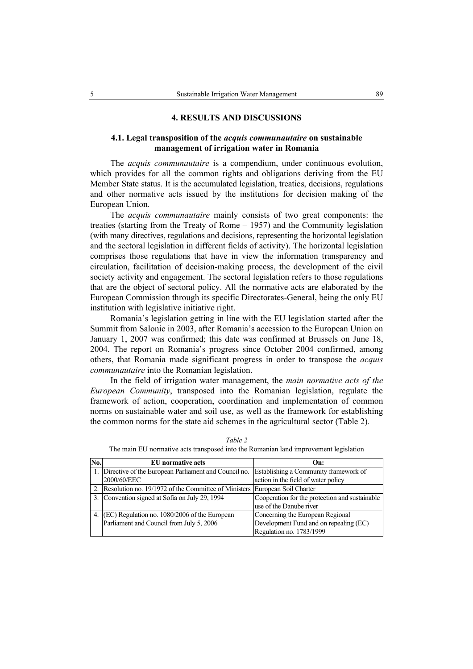#### **4. RESULTS AND DISCUSSIONS**

## **4.1. Legal transposition of the** *acquis communautaire* **on sustainable management of irrigation water in Romania**

The *acquis communautaire* is a compendium, under continuous evolution, which provides for all the common rights and obligations deriving from the EU Member State status. It is the accumulated legislation, treaties, decisions, regulations and other normative acts issued by the institutions for decision making of the European Union.

The *acquis communautaire* mainly consists of two great components: the treaties (starting from the Treaty of Rome – 1957) and the Community legislation (with many directives, regulations and decisions, representing the horizontal legislation and the sectoral legislation in different fields of activity). The horizontal legislation comprises those regulations that have in view the information transparency and circulation, facilitation of decision-making process, the development of the civil society activity and engagement. The sectoral legislation refers to those regulations that are the object of sectoral policy. All the normative acts are elaborated by the European Commission through its specific Directorates-General, being the only EU institution with legislative initiative right.

Romania's legislation getting in line with the EU legislation started after the Summit from Salonic in 2003, after Romania's accession to the European Union on January 1, 2007 was confirmed; this date was confirmed at Brussels on June 18, 2004. The report on Romania's progress since October 2004 confirmed, among others, that Romania made significant progress in order to transpose the *acquis communautaire* into the Romanian legislation.

In the field of irrigation water management, the *main normative acts of the European Community*, transposed into the Romanian legislation, regulate the framework of action, cooperation, coordination and implementation of common norms on sustainable water and soil use, as well as the framework for establishing the common norms for the state aid schemes in the agricultural sector (Table 2).

| No. | <b>EU</b> normative acts                                                      | On:                                            |
|-----|-------------------------------------------------------------------------------|------------------------------------------------|
|     | 1. Directive of the European Parliament and Council no.                       | Establishing a Community framework of          |
|     | 2000/60/EEC                                                                   | action in the field of water policy            |
|     | 2. Resolution no. 19/1972 of the Committee of Ministers European Soil Charter |                                                |
|     | Convention signed at Sofia on July 29, 1994                                   | Cooperation for the protection and sustainable |
|     |                                                                               | use of the Danube river                        |
|     | (EC) Regulation no. 1080/2006 of the European                                 | Concerning the European Regional               |
|     | Parliament and Council from July 5, 2006                                      | Development Fund and on repealing (EC)         |
|     |                                                                               | Regulation no. 1783/1999                       |

*Table 2*  The main EU normative acts transposed into the Romanian land improvement legislation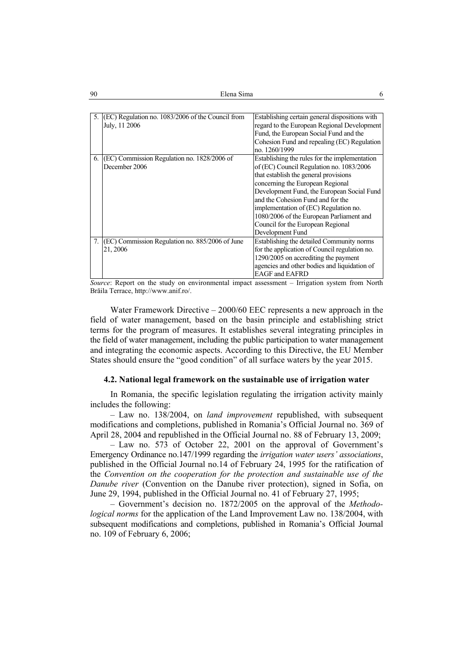| 90 | Elena Sima | O |
|----|------------|---|
|    |            |   |

| 5.             | (EC) Regulation no. 1083/2006 of the Council from | Establishing certain general dispositions with |
|----------------|---------------------------------------------------|------------------------------------------------|
|                | July, 11 2006                                     | regard to the European Regional Development    |
|                |                                                   | Fund, the European Social Fund and the         |
|                |                                                   | Cohesion Fund and repealing (EC) Regulation    |
|                |                                                   | no. 1260/1999                                  |
| 6.             | (EC) Commission Regulation no. 1828/2006 of       | Establishing the rules for the implementation  |
|                | December 2006                                     | of (EC) Council Regulation no. 1083/2006       |
|                |                                                   | that establish the general provisions          |
|                |                                                   | concerning the European Regional               |
|                |                                                   | Development Fund, the European Social Fund     |
|                |                                                   | and the Cohesion Fund and for the              |
|                |                                                   | implementation of (EC) Regulation no.          |
|                |                                                   | 1080/2006 of the European Parliament and       |
|                |                                                   | Council for the European Regional              |
|                |                                                   | Development Fund                               |
| 7 <sub>1</sub> | (EC) Commission Regulation no. 885/2006 of June   | Establishing the detailed Community norms      |
|                | 21, 2006                                          | for the application of Council regulation no.  |
|                |                                                   | 1290/2005 on accrediting the payment           |
|                |                                                   | agencies and other bodies and liquidation of   |
|                |                                                   | <b>EAGF</b> and <b>EAFRD</b>                   |

*Source*: Report on the study on environmental impact assessment – Irrigation system from North Brăila Terrace, http://www.anif.ro/.

Water Framework Directive – 2000/60 EEC represents a new approach in the field of water management, based on the basin principle and establishing strict terms for the program of measures. It establishes several integrating principles in the field of water management, including the public participation to water management and integrating the economic aspects. According to this Directive, the EU Member States should ensure the "good condition" of all surface waters by the year 2015.

## **4.2. National legal framework on the sustainable use of irrigation water**

In Romania, the specific legislation regulating the irrigation activity mainly includes the following:

– Law no. 138/2004, on *land improvement* republished, with subsequent modifications and completions, published in Romania's Official Journal no. 369 of April 28, 2004 and republished in the Official Journal no. 88 of February 13, 2009;

– Law no. 573 of October 22, 2001 on the approval of Government's Emergency Ordinance no.147/1999 regarding the *irrigation water users' associations*, published in the Official Journal no.14 of February 24, 1995 for the ratification of the *Convention on the cooperation for the protection and sustainable use of the Danube river* (Convention on the Danube river protection), signed in Sofia, on June 29, 1994, published in the Official Journal no. 41 of February 27, 1995;

– Government's decision no. 1872/2005 on the approval of the *Methodological norms* for the application of the Land Improvement Law no. 138/2004, with subsequent modifications and completions, published in Romania's Official Journal no. 109 of February 6, 2006;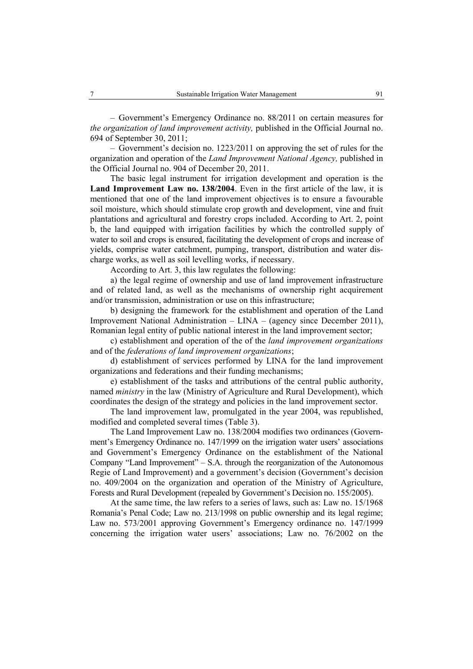– Government's Emergency Ordinance no. 88/2011 on certain measures for *the organization of land improvement activity,* published in the Official Journal no. 694 of September 30, 2011;

– Government's decision no. 1223/2011 on approving the set of rules for the organization and operation of the *Land Improvement National Agency,* published in the Official Journal no. 904 of December 20, 2011.

The basic legal instrument for irrigation development and operation is the **Land Improvement Law no. 138/2004**. Even in the first article of the law, it is mentioned that one of the land improvement objectives is to ensure a favourable soil moisture, which should stimulate crop growth and development, vine and fruit plantations and agricultural and forestry crops included. According to Art. 2, point b, the land equipped with irrigation facilities by which the controlled supply of water to soil and crops is ensured, facilitating the development of crops and increase of yields, comprise water catchment, pumping, transport, distribution and water discharge works, as well as soil levelling works, if necessary.

According to Art. 3, this law regulates the following:

a) the legal regime of ownership and use of land improvement infrastructure and of related land, as well as the mechanisms of ownership right acquirement and/or transmission, administration or use on this infrastructure;

b) designing the framework for the establishment and operation of the Land Improvement National Administration – LINA – (agency since December 2011), Romanian legal entity of public national interest in the land improvement sector;

c) establishment and operation of the of the *land improvement organizations*  and of the *federations of land improvement organizations*;

d) establishment of services performed by LINA for the land improvement organizations and federations and their funding mechanisms;

e) establishment of the tasks and attributions of the central public authority, named *ministry* in the law (Ministry of Agriculture and Rural Development), which coordinates the design of the strategy and policies in the land improvement sector.

The land improvement law, promulgated in the year 2004, was republished, modified and completed several times (Table 3).

The Land Improvement Law no. 138/2004 modifies two ordinances (Government's Emergency Ordinance no. 147/1999 on the irrigation water users' associations and Government's Emergency Ordinance on the establishment of the National Company "Land Improvement" – S.A. through the reorganization of the Autonomous Regie of Land Improvement) and a government's decision (Government's decision no. 409/2004 on the organization and operation of the Ministry of Agriculture, Forests and Rural Development (repealed by Government's Decision no. 155/2005).

At the same time, the law refers to a series of laws, such as: Law no. 15/1968 Romania's Penal Code; Law no. 213/1998 on public ownership and its legal regime; Law no. 573/2001 approving Government's Emergency ordinance no. 147/1999 concerning the irrigation water users' associations; Law no. 76/2002 on the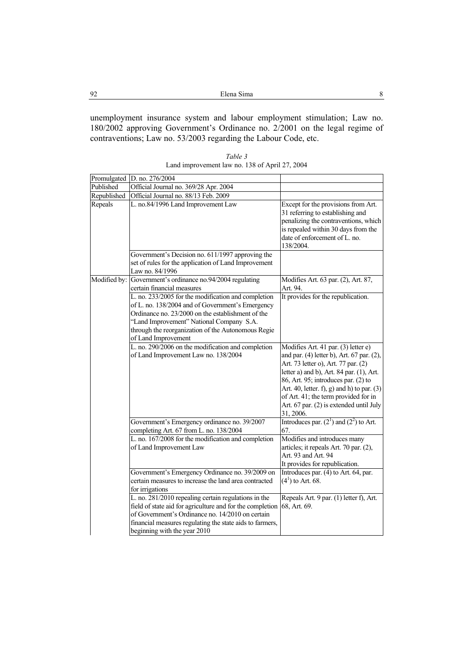unemployment insurance system and labour employment stimulation; Law no. 180/2002 approving Government's Ordinance no. 2/2001 on the legal regime of contraventions; Law no. 53/2003 regarding the Labour Code, etc.

| Table 3                                        |  |
|------------------------------------------------|--|
| Land improvement law no. 138 of April 27, 2004 |  |

| Promulgated | D. no. 276/2004                                                                                                                                                                                                                                                                       |                                                                                                                                                                                                                                                                                                                                                            |
|-------------|---------------------------------------------------------------------------------------------------------------------------------------------------------------------------------------------------------------------------------------------------------------------------------------|------------------------------------------------------------------------------------------------------------------------------------------------------------------------------------------------------------------------------------------------------------------------------------------------------------------------------------------------------------|
| Published   | Official Journal no. 369/28 Apr. 2004                                                                                                                                                                                                                                                 |                                                                                                                                                                                                                                                                                                                                                            |
| Republished | Official Journal no. 88/13 Feb. 2009                                                                                                                                                                                                                                                  |                                                                                                                                                                                                                                                                                                                                                            |
| Repeals     | L. no.84/1996 Land Improvement Law                                                                                                                                                                                                                                                    | Except for the provisions from Art.<br>31 referring to establishing and<br>penalizing the contraventions, which<br>is repealed within 30 days from the<br>date of enforcement of L. no.<br>138/2004.                                                                                                                                                       |
|             | Government's Decision no. 611/1997 approving the<br>set of rules for the application of Land Improvement<br>Law no. 84/1996                                                                                                                                                           |                                                                                                                                                                                                                                                                                                                                                            |
|             | Modified by: Government's ordinance no.94/2004 regulating<br>certain financial measures                                                                                                                                                                                               | Modifies Art. 63 par. (2), Art. 87,<br>Art. 94.                                                                                                                                                                                                                                                                                                            |
|             | L. no. 233/2005 for the modification and completion<br>of L. no. 138/2004 and of Government's Emergency<br>Ordinance no. 23/2000 on the establishment of the<br>"Land Improvement" National Company S.A.<br>through the reorganization of the Autonomous Regie<br>of Land Improvement | It provides for the republication.                                                                                                                                                                                                                                                                                                                         |
|             | L. no. 290/2006 on the modification and completion<br>of Land Improvement Law no. 138/2004                                                                                                                                                                                            | Modifies Art. 41 par. (3) letter e)<br>and par. (4) letter b), Art. 67 par. (2),<br>Art. 73 letter o), Art. 77 par. (2)<br>letter a) and b), Art. 84 par. (1), Art.<br>86, Art. 95; introduces par. (2) to<br>Art. 40, letter. f), g) and h) to par. $(3)$<br>of Art. 41; the term provided for in<br>Art. 67 par. (2) is extended until July<br>31, 2006. |
|             | Government's Emergency ordinance no. 39/2007<br>completing Art. 67 from L. no. 138/2004                                                                                                                                                                                               | Introduces par. $(2^1)$ and $(2^2)$ to Art.<br>67.                                                                                                                                                                                                                                                                                                         |
|             | L. no. 167/2008 for the modification and completion<br>of Land Improvement Law                                                                                                                                                                                                        | Modifies and introduces many<br>articles; it repeals Art. 70 par. (2),<br>Art. 93 and Art. 94<br>It provides for republication.                                                                                                                                                                                                                            |
|             | Government's Emergency Ordinance no. 39/2009 on<br>certain measures to increase the land area contracted<br>for irrigations                                                                                                                                                           | Introduces par. (4) to Art. 64, par.<br>$(41)$ to Art. 68.                                                                                                                                                                                                                                                                                                 |
|             | L. no. 281/2010 repealing certain regulations in the<br>field of state aid for agriculture and for the completion<br>of Government's Ordinance no. 14/2010 on certain<br>financial measures regulating the state aids to farmers,<br>beginning with the year 2010                     | Repeals Art. 9 par. (1) letter f), Art.<br>68, Art. 69.                                                                                                                                                                                                                                                                                                    |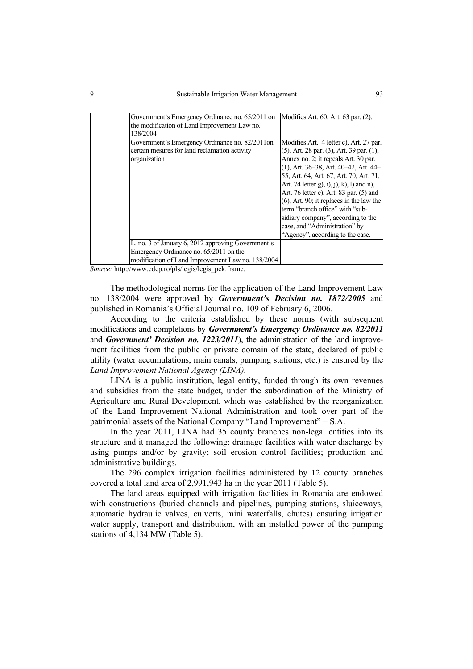| Government's Emergency Ordinance no. 65/2011 on    | Modifies Art. 60, Art. 63 par. (2).               |
|----------------------------------------------------|---------------------------------------------------|
| the modification of Land Improvement Law no.       |                                                   |
| 138/2004                                           |                                                   |
| Government's Emergency Ordinance no. 82/2011on     | Modifies Art. 4 letter c), Art. 27 par.           |
| certain mesures for land reclamation activity      | $(5)$ , Art. 28 par. $(3)$ , Art. 39 par. $(1)$ , |
| organization                                       | Annex no. 2; it repeals Art. 30 par.              |
|                                                    | $(1)$ , Art. 36–38, Art. 40–42, Art. 44–          |
|                                                    | 55, Art. 64, Art. 67, Art. 70, Art. 71,           |
|                                                    | Art. 74 letter g), i), j), k), l) and n),         |
|                                                    | Art. 76 letter e), Art. 83 par. (5) and           |
|                                                    | $(6)$ , Art. 90; it replaces in the law the       |
|                                                    | term "branch office" with "sub-                   |
|                                                    | sidiary company", according to the                |
|                                                    | case, and "Administration" by                     |
|                                                    | "Agency", according to the case.                  |
| L. no. 3 of January 6, 2012 approving Government's |                                                   |
| Emergency Ordinance no. 65/2011 on the             |                                                   |
| modification of Land Improvement Law no. 138/2004  |                                                   |

*Source:* http://www.cdep.ro/pls/legis/legis\_pck.frame.

The methodological norms for the application of the Land Improvement Law no. 138/2004 were approved by *Government's Decision no. 1872/2005* and published in Romania's Official Journal no. 109 of February 6, 2006.

According to the criteria established by these norms (with subsequent modifications and completions by *Government's Emergency Ordinance no. 82/2011* and *Government' Decision no. 1223/2011*), the administration of the land improvement facilities from the public or private domain of the state, declared of public utility (water accumulations, main canals, pumping stations, etc.) is ensured by the *Land Improvement National Agency (LINA).* 

LINA is a public institution, legal entity, funded through its own revenues and subsidies from the state budget, under the subordination of the Ministry of Agriculture and Rural Development, which was established by the reorganization of the Land Improvement National Administration and took over part of the patrimonial assets of the National Company "Land Improvement" – S.A.

In the year 2011, LINA had 35 county branches non-legal entities into its structure and it managed the following: drainage facilities with water discharge by using pumps and/or by gravity; soil erosion control facilities; production and administrative buildings.

The 296 complex irrigation facilities administered by 12 county branches covered a total land area of 2,991,943 ha in the year 2011 (Table 5).

The land areas equipped with irrigation facilities in Romania are endowed with constructions (buried channels and pipelines, pumping stations, sluiceways, automatic hydraulic valves, culverts, mini waterfalls, chutes) ensuring irrigation water supply, transport and distribution, with an installed power of the pumping stations of 4,134 MW (Table 5).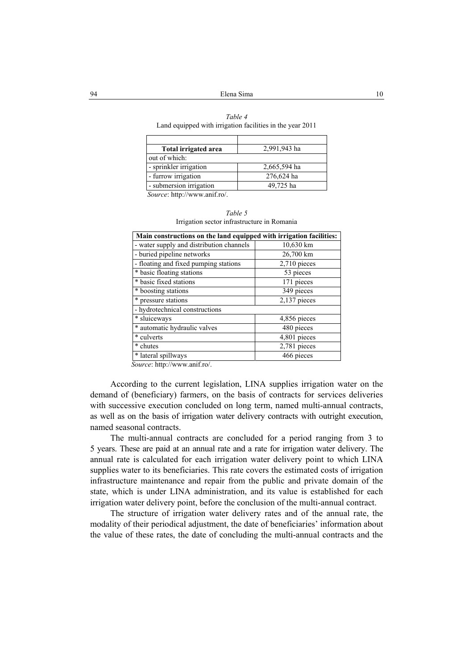| Table 4                                                   |  |
|-----------------------------------------------------------|--|
| Land equipped with irrigation facilities in the year 2011 |  |

| Total irrigated area             | 2,991,943 ha |
|----------------------------------|--------------|
| out of which:                    |              |
| - sprinkler irrigation           | 2,665,594 ha |
| - furrow irrigation              | 276,624 ha   |
| - submersion irrigation          | 49,725 ha    |
| $\alpha$ 1.1.1.1.1. $\alpha$ .1. |              |

*Source*: http://www.anif.ro/.

| Irrigation sector infrastructure in Romania                         |                |  |  |  |
|---------------------------------------------------------------------|----------------|--|--|--|
| Main constructions on the land equipped with irrigation facilities: |                |  |  |  |
| - water supply and distribution channels                            | 10,630 km      |  |  |  |
| - buried pipeline networks                                          | 26,700 km      |  |  |  |
| - floating and fixed pumping stations                               | $2,710$ pieces |  |  |  |
| * basic floating stations                                           | 53 pieces      |  |  |  |
| * basic fixed stations                                              | 171 pieces     |  |  |  |
| * boosting stations                                                 | 349 pieces     |  |  |  |
| * pressure stations                                                 | $2,137$ pieces |  |  |  |
| - hydrotechnical constructions                                      |                |  |  |  |

\* sluiceways 4,856 pieces \* automatic hydraulic valves 480 pieces \* culverts 4,801 pieces \* chutes 2,781 pieces \* lateral spillways 466 pieces

| Table 5                                    |  |
|--------------------------------------------|--|
| rrigation sector infrastructure in Romania |  |

*Source*: http://www.anif.ro/.

According to the current legislation, LINA supplies irrigation water on the demand of (beneficiary) farmers, on the basis of contracts for services deliveries with successive execution concluded on long term, named multi-annual contracts, as well as on the basis of irrigation water delivery contracts with outright execution, named seasonal contracts.

The multi-annual contracts are concluded for a period ranging from 3 to 5 years. These are paid at an annual rate and a rate for irrigation water delivery. The annual rate is calculated for each irrigation water delivery point to which LINA supplies water to its beneficiaries. This rate covers the estimated costs of irrigation infrastructure maintenance and repair from the public and private domain of the state, which is under LINA administration, and its value is established for each irrigation water delivery point, before the conclusion of the multi-annual contract.

The structure of irrigation water delivery rates and of the annual rate, the modality of their periodical adjustment, the date of beneficiaries' information about the value of these rates, the date of concluding the multi-annual contracts and the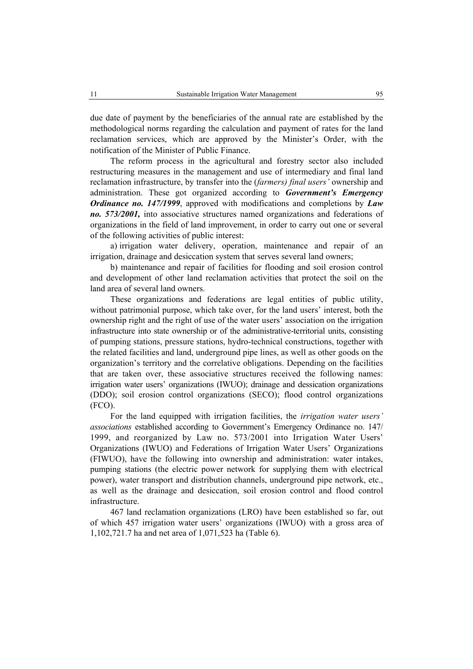due date of payment by the beneficiaries of the annual rate are established by the methodological norms regarding the calculation and payment of rates for the land reclamation services, which are approved by the Minister's Order, with the notification of the Minister of Public Finance.

The reform process in the agricultural and forestry sector also included restructuring measures in the management and use of intermediary and final land reclamation infrastructure, by transfer into the (*farmers) final users'* ownership and administration. These got organized according to *Government's Emergency Ordinance no. 147/1999*, approved with modifications and completions by *Law no. 573/2001,* into associative structures named organizations and federations of organizations in the field of land improvement, in order to carry out one or several of the following activities of public interest:

a) irrigation water delivery, operation, maintenance and repair of an irrigation, drainage and desiccation system that serves several land owners;

b) maintenance and repair of facilities for flooding and soil erosion control and development of other land reclamation activities that protect the soil on the land area of several land owners.

These organizations and federations are legal entities of public utility, without patrimonial purpose, which take over, for the land users' interest, both the ownership right and the right of use of the water users' association on the irrigation infrastructure into state ownership or of the administrative-territorial units, consisting of pumping stations, pressure stations, hydro-technical constructions, together with the related facilities and land, underground pipe lines, as well as other goods on the organization's territory and the correlative obligations. Depending on the facilities that are taken over, these associative structures received the following names: irrigation water users' organizations (IWUO); drainage and dessication organizations (DDO); soil erosion control organizations (SECO); flood control organizations (FCO).

For the land equipped with irrigation facilities, the *irrigation water users' associations* established according to Government's Emergency Ordinance no. 147/ 1999, and reorganized by Law no. 573/2001 into Irrigation Water Users' Organizations (IWUO) and Federations of Irrigation Water Users' Organizations (FIWUO), have the following into ownership and administration: water intakes, pumping stations (the electric power network for supplying them with electrical power), water transport and distribution channels, underground pipe network, etc., as well as the drainage and desiccation, soil erosion control and flood control infrastructure.

467 land reclamation organizations (LRO) have been established so far, out of which 457 irrigation water users' organizations (IWUO) with a gross area of 1,102,721.7 ha and net area of 1,071,523 ha (Table 6).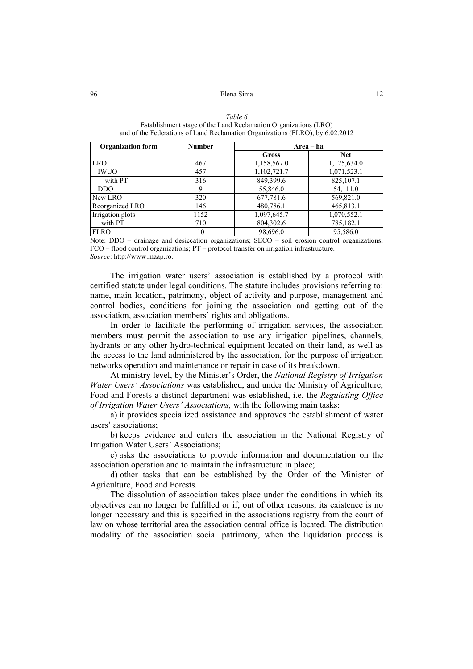| Table 6                                                                       |
|-------------------------------------------------------------------------------|
| Establishment stage of the Land Reclamation Organizations (LRO)               |
| and of the Federations of Land Reclamation Organizations (FLRO), by 6.02.2012 |

| <b>Organization form</b> | <b>Number</b> | Area – ha       |             |
|--------------------------|---------------|-----------------|-------------|
|                          |               | Gross           | <b>Net</b>  |
| <b>LRO</b>               | 467           | 1,158,567.0     | 1,125,634.0 |
| <b>IWUO</b>              | 457           | 1,102,721.7     | 1,071,523.1 |
| with PT                  | 316           | 849,399.6       | 825,107.1   |
| D <sub>D</sub> O         | 9             | 55,846.0        | 54,111.0    |
| New LRO                  | 320           | 677,781.6       | 569,821.0   |
| Reorganized LRO          | 146           | 480,786.1       | 465,813.1   |
| Irrigation plots         | 1152          | 1,097,645.7     | 1,070,552.1 |
| with PT                  | 710           | 804,302.6       | 785,182.1   |
| <b>FLRO</b>              | 10            | 98,696.0        | 95,586.0    |
| .<br>___                 | .             | $\sim$<br>----- |             |

Note: DDO – drainage and desiccation organizations: SECO – soil erosion control organizations: FCO – flood control organizations; PT – protocol transfer on irrigation infrastructure. *Source*: http://www.maap.ro.

The irrigation water users' association is established by a protocol with certified statute under legal conditions. The statute includes provisions referring to: name, main location, patrimony, object of activity and purpose, management and control bodies, conditions for joining the association and getting out of the association, association members' rights and obligations.

In order to facilitate the performing of irrigation services, the association members must permit the association to use any irrigation pipelines, channels, hydrants or any other hydro-technical equipment located on their land, as well as the access to the land administered by the association, for the purpose of irrigation networks operation and maintenance or repair in case of its breakdown.

At ministry level, by the Minister's Order, the *National Registry of Irrigation Water Users' Associations* was established, and under the Ministry of Agriculture, Food and Forests a distinct department was established, i.e. the *Regulating Office of Irrigation Water Users' Associations,* with the following main tasks:

a) it provides specialized assistance and approves the establishment of water users' associations;

b) keeps evidence and enters the association in the National Registry of Irrigation Water Users' Associations;

c) asks the associations to provide information and documentation on the association operation and to maintain the infrastructure in place;

d) other tasks that can be established by the Order of the Minister of Agriculture, Food and Forests.

The dissolution of association takes place under the conditions in which its objectives can no longer be fulfilled or if, out of other reasons, its existence is no longer necessary and this is specified in the associations registry from the court of law on whose territorial area the association central office is located. The distribution modality of the association social patrimony, when the liquidation process is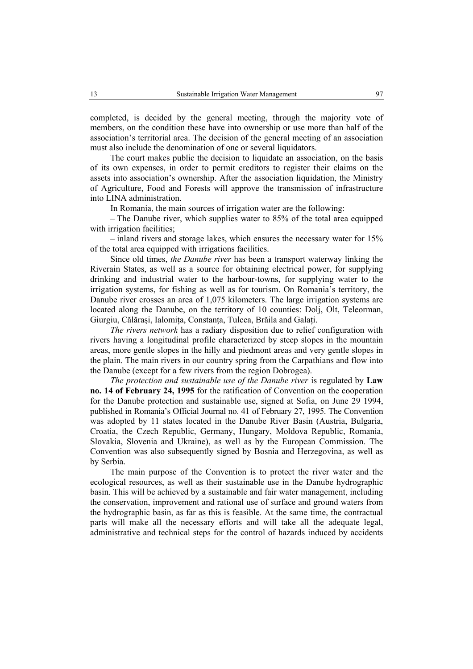completed, is decided by the general meeting, through the majority vote of members, on the condition these have into ownership or use more than half of the association's territorial area. The decision of the general meeting of an association must also include the denomination of one or several liquidators.

The court makes public the decision to liquidate an association, on the basis of its own expenses, in order to permit creditors to register their claims on the assets into association's ownership. After the association liquidation, the Ministry of Agriculture, Food and Forests will approve the transmission of infrastructure into LINA administration.

In Romania, the main sources of irrigation water are the following:

– The Danube river, which supplies water to 85% of the total area equipped with irrigation facilities;

– inland rivers and storage lakes, which ensures the necessary water for 15% of the total area equipped with irrigations facilities.

Since old times, *the Danube river* has been a transport waterway linking the Riverain States, as well as a source for obtaining electrical power, for supplying drinking and industrial water to the harbour-towns, for supplying water to the irrigation systems, for fishing as well as for tourism. On Romania's territory, the Danube river crosses an area of 1,075 kilometers. The large irrigation systems are located along the Danube, on the territory of 10 counties: Dolj, Olt, Teleorman, Giurgiu, Călăraşi, Ialomiţa, Constanţa, Tulcea, Brăila and Galaţi.

*The rivers network* has a radiary disposition due to relief configuration with rivers having a longitudinal profile characterized by steep slopes in the mountain areas, more gentle slopes in the hilly and piedmont areas and very gentle slopes in the plain. The main rivers in our country spring from the Carpathians and flow into the Danube (except for a few rivers from the region Dobrogea).

*The protection and sustainable use of the Danube river* is regulated by **Law no. 14 of February 24, 1995** for the ratification of Convention on the cooperation for the Danube protection and sustainable use, signed at Sofia, on June 29 1994, published in Romania's Official Journal no. 41 of February 27, 1995. The Convention was adopted by 11 states located in the Danube River Basin (Austria, Bulgaria, Croatia, the Czech Republic, Germany, Hungary, Moldova Republic, Romania, Slovakia, Slovenia and Ukraine), as well as by the European Commission. The Convention was also subsequently signed by Bosnia and Herzegovina, as well as by Serbia.

The main purpose of the Convention is to protect the river water and the ecological resources, as well as their sustainable use in the Danube hydrographic basin. This will be achieved by a sustainable and fair water management, including the conservation, improvement and rational use of surface and ground waters from the hydrographic basin, as far as this is feasible. At the same time, the contractual parts will make all the necessary efforts and will take all the adequate legal, administrative and technical steps for the control of hazards induced by accidents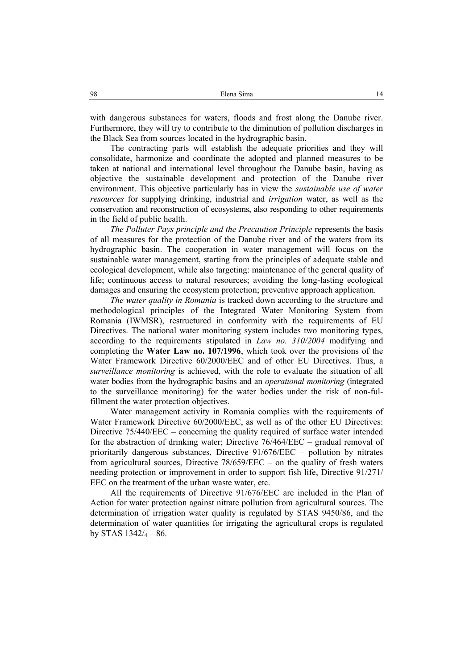with dangerous substances for waters, floods and frost along the Danube river. Furthermore, they will try to contribute to the diminution of pollution discharges in the Black Sea from sources located in the hydrographic basin.

The contracting parts will establish the adequate priorities and they will consolidate, harmonize and coordinate the adopted and planned measures to be taken at national and international level throughout the Danube basin, having as objective the sustainable development and protection of the Danube river environment. This objective particularly has in view the *sustainable use of water resources* for supplying drinking, industrial and *irrigation* water, as well as the conservation and reconstruction of ecosystems, also responding to other requirements in the field of public health.

*The Polluter Pays principle and the Precaution Principle* represents the basis of all measures for the protection of the Danube river and of the waters from its hydrographic basin. The cooperation in water management will focus on the sustainable water management, starting from the principles of adequate stable and ecological development, while also targeting: maintenance of the general quality of life; continuous access to natural resources; avoiding the long-lasting ecological damages and ensuring the ecosystem protection; preventive approach application.

*The water quality in Romania* is tracked down according to the structure and methodological principles of the Integrated Water Monitoring System from Romania (IWMSR), restructured in conformity with the requirements of EU Directives. The national water monitoring system includes two monitoring types, according to the requirements stipulated in *Law no. 310/2004* modifying and completing the **Water Law no. 107/1996**, which took over the provisions of the Water Framework Directive 60/2000/EEC and of other EU Directives. Thus, a *surveillance monitoring* is achieved, with the role to evaluate the situation of all water bodies from the hydrographic basins and an *operational monitoring* (integrated to the surveillance monitoring) for the water bodies under the risk of non-fulfillment the water protection objectives.

Water management activity in Romania complies with the requirements of Water Framework Directive 60/2000/EEC, as well as of the other EU Directives: Directive 75/440/EEC – concerning the quality required of surface water intended for the abstraction of drinking water; Directive 76/464/EEC – gradual removal of prioritarily dangerous substances, Directive 91/676/EEC – pollution by nitrates from agricultural sources, Directive 78/659/EEC – on the quality of fresh waters needing protection or improvement in order to support fish life, Directive 91/271/ EEC on the treatment of the urban waste water, etc.

All the requirements of Directive 91/676/EEC are included in the Plan of Action for water protection against nitrate pollution from agricultural sources. The determination of irrigation water quality is regulated by STAS 9450/86, and the determination of water quantities for irrigating the agricultural crops is regulated by STAS  $1342/4 - 86$ .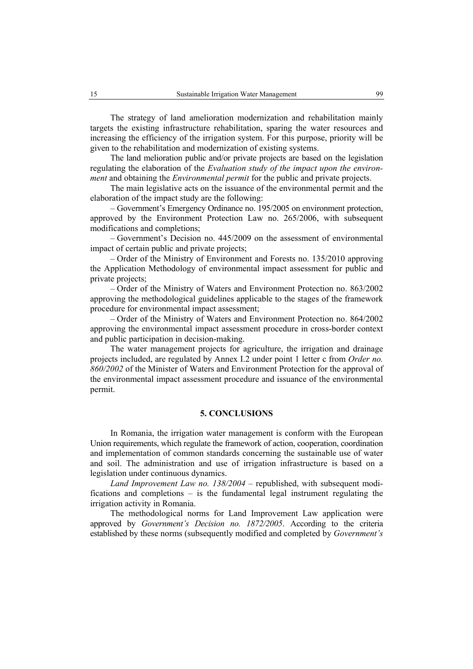The strategy of land amelioration modernization and rehabilitation mainly targets the existing infrastructure rehabilitation, sparing the water resources and increasing the efficiency of the irrigation system. For this purpose, priority will be given to the rehabilitation and modernization of existing systems.

The land melioration public and/or private projects are based on the legislation regulating the elaboration of the *Evaluation study of the impact upon the environment* and obtaining the *Environmental permit* for the public and private projects.

The main legislative acts on the issuance of the environmental permit and the elaboration of the impact study are the following:

– Government's Emergency Ordinance no. 195/2005 on environment protection, approved by the Environment Protection Law no. 265/2006, with subsequent modifications and completions;

– Government's Decision no. 445/2009 on the assessment of environmental impact of certain public and private projects;

– Order of the Ministry of Environment and Forests no. 135/2010 approving the Application Methodology of environmental impact assessment for public and private projects;

– Order of the Ministry of Waters and Environment Protection no. 863/2002 approving the methodological guidelines applicable to the stages of the framework procedure for environmental impact assessment;

– Order of the Ministry of Waters and Environment Protection no. 864/2002 approving the environmental impact assessment procedure in cross-border context and public participation in decision-making.

The water management projects for agriculture, the irrigation and drainage projects included, are regulated by Annex I.2 under point 1 letter c from *Order no. 860/2002* of the Minister of Waters and Environment Protection for the approval of the environmental impact assessment procedure and issuance of the environmental permit.

## **5. CONCLUSIONS**

In Romania, the irrigation water management is conform with the European Union requirements, which regulate the framework of action, cooperation, coordination and implementation of common standards concerning the sustainable use of water and soil. The administration and use of irrigation infrastructure is based on a legislation under continuous dynamics.

*Land Improvement Law no. 138/2004* – republished, with subsequent modifications and completions – is the fundamental legal instrument regulating the irrigation activity in Romania.

The methodological norms for Land Improvement Law application were approved by *Government's Decision no. 1872/2005*. According to the criteria established by these norms (subsequently modified and completed by *Government's*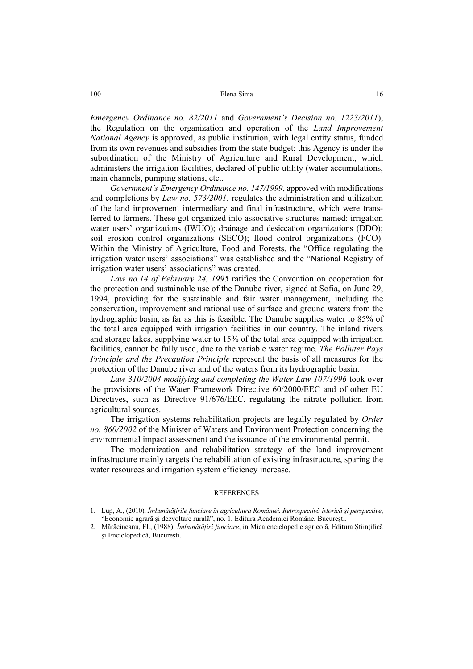*Emergency Ordinance no. 82/2011* and *Government's Decision no. 1223/2011*), the Regulation on the organization and operation of the *Land Improvement National Agency* is approved, as public institution, with legal entity status, funded from its own revenues and subsidies from the state budget; this Agency is under the subordination of the Ministry of Agriculture and Rural Development, which administers the irrigation facilities, declared of public utility (water accumulations, main channels, pumping stations, etc..

*Government's Emergency Ordinance no. 147/1999*, approved with modifications and completions by *Law no. 573/2001*, regulates the administration and utilization of the land improvement intermediary and final infrastructure, which were transferred to farmers. These got organized into associative structures named: irrigation water users' organizations (IWUO); drainage and desiccation organizations (DDO); soil erosion control organizations (SECO); flood control organizations (FCO). Within the Ministry of Agriculture, Food and Forests, the "Office regulating the irrigation water users' associations" was established and the "National Registry of irrigation water users' associations" was created.

*Law no.14 of February 24, 1995* ratifies the Convention on cooperation for the protection and sustainable use of the Danube river, signed at Sofia, on June 29, 1994, providing for the sustainable and fair water management, including the conservation, improvement and rational use of surface and ground waters from the hydrographic basin, as far as this is feasible. The Danube supplies water to 85% of the total area equipped with irrigation facilities in our country. The inland rivers and storage lakes, supplying water to 15% of the total area equipped with irrigation facilities, cannot be fully used, due to the variable water regime. *The Polluter Pays Principle and the Precaution Principle* represent the basis of all measures for the protection of the Danube river and of the waters from its hydrographic basin.

*Law 310/2004 modifying and completing the Water Law 107/1996* took over the provisions of the Water Framework Directive 60/2000/EEC and of other EU Directives, such as Directive 91/676/EEC, regulating the nitrate pollution from agricultural sources.

The irrigation systems rehabilitation projects are legally regulated by *Order no. 860/2002* of the Minister of Waters and Environment Protection concerning the environmental impact assessment and the issuance of the environmental permit.

The modernization and rehabilitation strategy of the land improvement infrastructure mainly targets the rehabilitation of existing infrastructure, sparing the water resources and irrigation system efficiency increase.

#### **REFERENCES**

<sup>1.</sup> Lup, A., (2010), *Îmbunătăţirile funciare în agricultura României. Retrospectivă istorică şi perspective*, "Economie agrară şi dezvoltare rurală", no. 1, Editura Academiei Române, Bucureşti.

<sup>2.</sup> Mărăcineanu, Fl., (1988), *Îmbunătăţiri funciare*, in Mica enciclopedie agricolă, Editura Ştiinţifică şi Enciclopedică, Bucureşti.